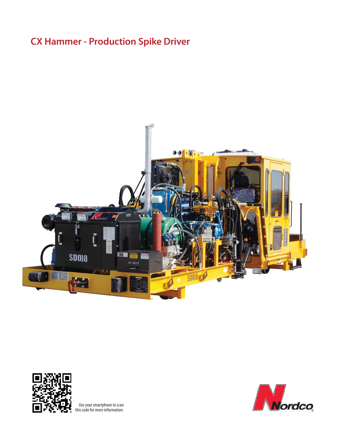# **CX Hammer - Production Spike Driver**





Use your smartphone to scan this code for more information.

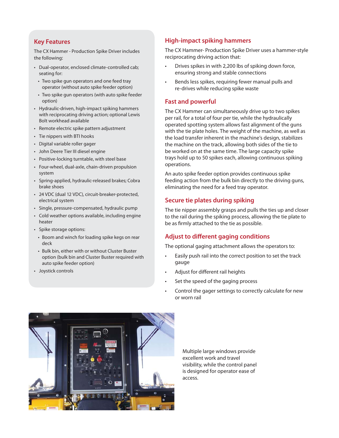## **Key Features**

The CX Hammer - Production Spike Driver includes the following:

- Dual-operator, enclosed climate-controlled cab; seating for:
	- Two spike gun operators and one feed tray operator (without auto spike feeder option)
	- Two spike gun operators (with auto spike feeder option)
- Hydraulic-driven, high-impact spiking hammers with reciprocating driving action; optional Lewis Bolt workhead available
- Remote electric spike pattern adjustment
- Tie nippers with BTI hooks
- Digital variable roller gager
- John Deere Tier III diesel engine
- Positive-locking turntable, with steel base
- Four-wheel, dual-axle, chain-driven propulsion system
- Spring-applied, hydraulic-released brakes; Cobra brake shoes
- 24 VDC (dual 12 VDC), circuit-breaker-protected, electrical system
- Single, pressure-compensated, hydraulic pump
- Cold weather options available, including engine heater
- Spike storage options:
	- Boom and winch for loading spike kegs on rear deck
- Bulk bin, either with or without Cluster Buster option (bulk bin and Cluster Buster required with auto spike feeder option)
- Joystick controls

## **High-impact spiking hammers**

The CX Hammer- Production Spike Driver uses a hammer-style reciprocating driving action that:

- Drives spikes in with 2,200 lbs of spiking down force, ensuring strong and stable connections
- Bends less spikes, requiring fewer manual pulls and re-drives while reducing spike waste

#### **Fast and powerful**

The CX Hammer can simultaneously drive up to two spikes per rail, for a total of four per tie, while the hydraulically operated spotting system allows fast alignment of the guns with the tie plate holes. The weight of the machine, as well as the load transfer inherent in the machine's design, stabilizes the machine on the track, allowing both sides of the tie to be worked on at the same time. The large capacity spike trays hold up to 50 spikes each, allowing continuous spiking operations.

An auto spike feeder option provides continuous spike feeding action from the bulk bin directly to the driving guns, eliminating the need for a feed tray operator.

#### **Secure tie plates during spiking**

The tie nipper assembly grasps and pulls the ties up and closer to the rail during the spiking process, allowing the tie plate to be as firmly attached to the tie as possible.

## **Adjust to different gaging conditions**

The optional gaging attachment allows the operators to:

- Easily push rail into the correct position to set the track gauge
- Adjust for different rail heights
- Set the speed of the gaging process
- Control the gager settings to correctly calculate for new or worn rail



Multiple large windows provide excellent work and travel visibility, while the control panel is designed for operator ease of access.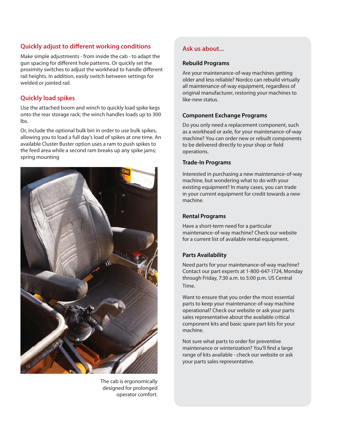## **Quickly adjust to different working conditions**

**Optional photo, diagram,**  rail heights. In addition, easily switch between settings for **c**hart or screence produce the screence of  $\alpha$ Make simple adjustments - from inside the cab - to adapt the gun spacing for different hole patterns. Or quickly set the proximity switches to adjust the workhead to handle different welded or jointed rail.

## *Alaickly load spikes*

Use the attached boom and winch to quickly load spike kegs onto the rear storage rack; the winch handles loads up to 300 lbs.

Or, include the optional bulk bin in order to use bulk spikes, allowing you to load a full day's load of spikes at one time. An available Cluster Buster option uses a ram to push spikes to the feed area while a second ram breaks up any spike jams; spring mounting



The cab is ergonomically designed for prolonged operator comfort.

## **Ask us about...**

#### **Rebuild Programs**

Are your maintenance-of-way machines getting older and less reliable? Nordco can rebuild virtually all maintenance-of-way equipment, regardless of original manufacturer, restoring your machines to like-new status.

## **Component Exchange Programs**

Do you only need a replacement component, such as a workhead or axle, for your maintenance-of-way machine? You can order new or rebuilt components to be delivered directly to your shop or field operations.

## **Trade-In Programs**

Interested in purchasing a new maintenance-of-way machine, but wondering what to do with your existing equipment? In many cases, you can trade in your current equipment for credit towards a new machine.

## **Rental Programs**

Have a short-term need for a particular maintenance-of-way machine? Check our website for a current list of available rental equipment.

## **Parts Availability**

Need parts for your maintenance-of-way machine? Contact our part experts at 1-800-647-1724, Monday through Friday, 7:30 a.m. to 5:00 p.m. US Central Time.

Want to ensure that you order the most essential parts to keep your maintenance-of-way machine operational? Check our website or ask your parts sales representative about the available critical component kits and basic spare part kits for your machine.

Not sure what parts to order for preventive maintenance or winterization? You'll find a large range of kits available - check our website or ask your parts sales representative.